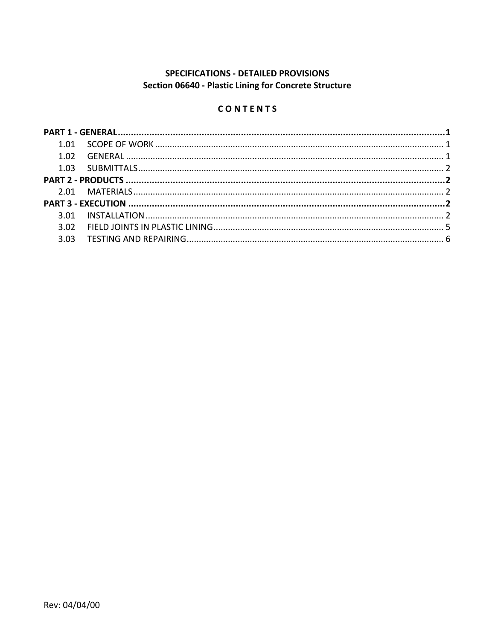# SPECIFICATIONS - DETAILED PROVISIONS Section 06640 - Plastic Lining for Concrete Structure

# CONTENTS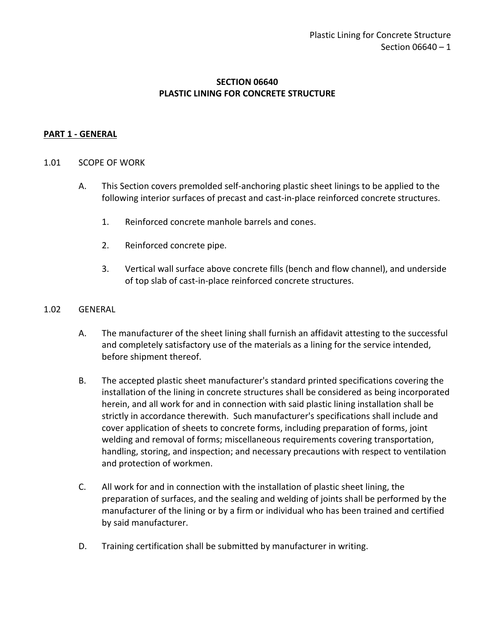## **SECTION 06640 PLASTIC LINING FOR CONCRETE STRUCTURE**

### <span id="page-2-0"></span>**PART 1 - GENERAL**

#### <span id="page-2-1"></span>1.01 SCOPE OF WORK

- A. This Section covers premolded self-anchoring plastic sheet linings to be applied to the following interior surfaces of precast and cast-in-place reinforced concrete structures.
	- 1. Reinforced concrete manhole barrels and cones.
	- 2. Reinforced concrete pipe.
	- 3. Vertical wall surface above concrete fills (bench and flow channel), and underside of top slab of cast-in-place reinforced concrete structures.

#### <span id="page-2-2"></span>1.02 GENERAL

- A. The manufacturer of the sheet lining shall furnish an affidavit attesting to the successful and completely satisfactory use of the materials as a lining for the service intended, before shipment thereof.
- B. The accepted plastic sheet manufacturer's standard printed specifications covering the installation of the lining in concrete structures shall be considered as being incorporated herein, and all work for and in connection with said plastic lining installation shall be strictly in accordance therewith. Such manufacturer's specifications shall include and cover application of sheets to concrete forms, including preparation of forms, joint welding and removal of forms; miscellaneous requirements covering transportation, handling, storing, and inspection; and necessary precautions with respect to ventilation and protection of workmen.
- C. All work for and in connection with the installation of plastic sheet lining, the preparation of surfaces, and the sealing and welding of joints shall be performed by the manufacturer of the lining or by a firm or individual who has been trained and certified by said manufacturer.
- D. Training certification shall be submitted by manufacturer in writing.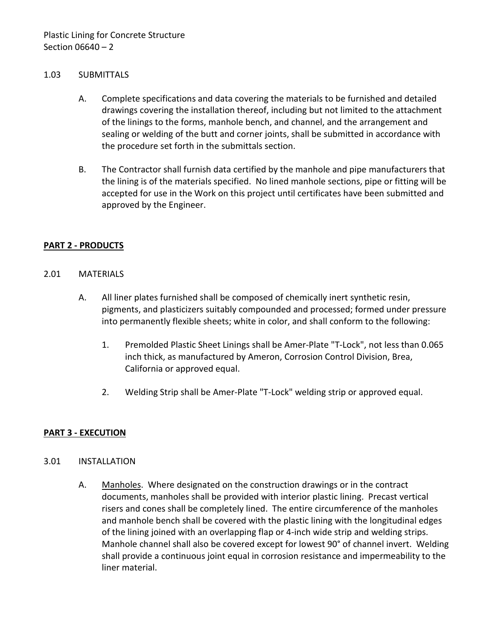#### <span id="page-3-0"></span>1.03 SUBMITTALS

- A. Complete specifications and data covering the materials to be furnished and detailed drawings covering the installation thereof, including but not limited to the attachment of the linings to the forms, manhole bench, and channel, and the arrangement and sealing or welding of the butt and corner joints, shall be submitted in accordance with the procedure set forth in the submittals section.
- B. The Contractor shall furnish data certified by the manhole and pipe manufacturers that the lining is of the materials specified. No lined manhole sections, pipe or fitting will be accepted for use in the Work on this project until certificates have been submitted and approved by the Engineer.

### <span id="page-3-1"></span>**PART 2 - PRODUCTS**

### <span id="page-3-2"></span>2.01 MATERIALS

- A. All liner plates furnished shall be composed of chemically inert synthetic resin, pigments, and plasticizers suitably compounded and processed; formed under pressure into permanently flexible sheets; white in color, and shall conform to the following:
	- 1. Premolded Plastic Sheet Linings shall be Amer-Plate "T-Lock", not less than 0.065 inch thick, as manufactured by Ameron, Corrosion Control Division, Brea, California or approved equal.
	- 2. Welding Strip shall be Amer-Plate "T-Lock" welding strip or approved equal.

### <span id="page-3-3"></span>**PART 3 - EXECUTION**

### <span id="page-3-4"></span>3.01 INSTALLATION

A. Manholes. Where designated on the construction drawings or in the contract documents, manholes shall be provided with interior plastic lining. Precast vertical risers and cones shall be completely lined. The entire circumference of the manholes and manhole bench shall be covered with the plastic lining with the longitudinal edges of the lining joined with an overlapping flap or 4-inch wide strip and welding strips. Manhole channel shall also be covered except for lowest 90° of channel invert. Welding shall provide a continuous joint equal in corrosion resistance and impermeability to the liner material.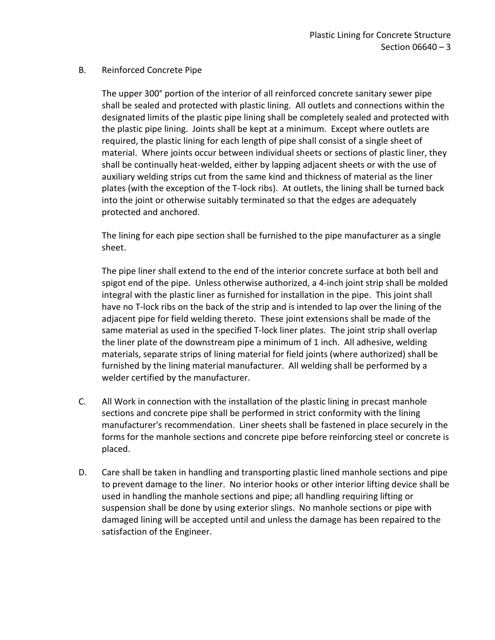### B. Reinforced Concrete Pipe

The upper 300° portion of the interior of all reinforced concrete sanitary sewer pipe shall be sealed and protected with plastic lining. All outlets and connections within the designated limits of the plastic pipe lining shall be completely sealed and protected with the plastic pipe lining. Joints shall be kept at a minimum. Except where outlets are required, the plastic lining for each length of pipe shall consist of a single sheet of material. Where joints occur between individual sheets or sections of plastic liner, they shall be continually heat-welded, either by lapping adjacent sheets or with the use of auxiliary welding strips cut from the same kind and thickness of material as the liner plates (with the exception of the T-lock ribs). At outlets, the lining shall be turned back into the joint or otherwise suitably terminated so that the edges are adequately protected and anchored.

The lining for each pipe section shall be furnished to the pipe manufacturer as a single sheet.

The pipe liner shall extend to the end of the interior concrete surface at both bell and spigot end of the pipe. Unless otherwise authorized, a 4-inch joint strip shall be molded integral with the plastic liner as furnished for installation in the pipe. This joint shall have no T-lock ribs on the back of the strip and is intended to lap over the lining of the adjacent pipe for field welding thereto. These joint extensions shall be made of the same material as used in the specified T-lock liner plates. The joint strip shall overlap the liner plate of the downstream pipe a minimum of 1 inch. All adhesive, welding materials, separate strips of lining material for field joints (where authorized) shall be furnished by the lining material manufacturer. All welding shall be performed by a welder certified by the manufacturer.

- C. All Work in connection with the installation of the plastic lining in precast manhole sections and concrete pipe shall be performed in strict conformity with the lining manufacturer's recommendation. Liner sheets shall be fastened in place securely in the forms for the manhole sections and concrete pipe before reinforcing steel or concrete is placed.
- D. Care shall be taken in handling and transporting plastic lined manhole sections and pipe to prevent damage to the liner. No interior hooks or other interior lifting device shall be used in handling the manhole sections and pipe; all handling requiring lifting or suspension shall be done by using exterior slings. No manhole sections or pipe with damaged lining will be accepted until and unless the damage has been repaired to the satisfaction of the Engineer.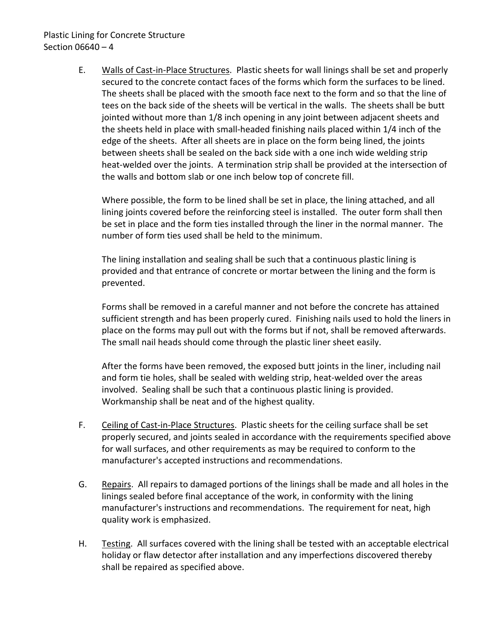## Plastic Lining for Concrete Structure Section 06640 – 4

E. Walls of Cast-in-Place Structures. Plastic sheets for wall linings shall be set and properly secured to the concrete contact faces of the forms which form the surfaces to be lined. The sheets shall be placed with the smooth face next to the form and so that the line of tees on the back side of the sheets will be vertical in the walls. The sheets shall be butt jointed without more than 1/8 inch opening in any joint between adjacent sheets and the sheets held in place with small-headed finishing nails placed within 1/4 inch of the edge of the sheets. After all sheets are in place on the form being lined, the joints between sheets shall be sealed on the back side with a one inch wide welding strip heat-welded over the joints. A termination strip shall be provided at the intersection of the walls and bottom slab or one inch below top of concrete fill.

Where possible, the form to be lined shall be set in place, the lining attached, and all lining joints covered before the reinforcing steel is installed. The outer form shall then be set in place and the form ties installed through the liner in the normal manner. The number of form ties used shall be held to the minimum.

The lining installation and sealing shall be such that a continuous plastic lining is provided and that entrance of concrete or mortar between the lining and the form is prevented.

Forms shall be removed in a careful manner and not before the concrete has attained sufficient strength and has been properly cured. Finishing nails used to hold the liners in place on the forms may pull out with the forms but if not, shall be removed afterwards. The small nail heads should come through the plastic liner sheet easily.

After the forms have been removed, the exposed butt joints in the liner, including nail and form tie holes, shall be sealed with welding strip, heat-welded over the areas involved. Sealing shall be such that a continuous plastic lining is provided. Workmanship shall be neat and of the highest quality.

- F. Ceiling of Cast-in-Place Structures. Plastic sheets for the ceiling surface shall be set properly secured, and joints sealed in accordance with the requirements specified above for wall surfaces, and other requirements as may be required to conform to the manufacturer's accepted instructions and recommendations.
- G. Repairs. All repairs to damaged portions of the linings shall be made and all holes in the linings sealed before final acceptance of the work, in conformity with the lining manufacturer's instructions and recommendations. The requirement for neat, high quality work is emphasized.
- H. Testing. All surfaces covered with the lining shall be tested with an acceptable electrical holiday or flaw detector after installation and any imperfections discovered thereby shall be repaired as specified above.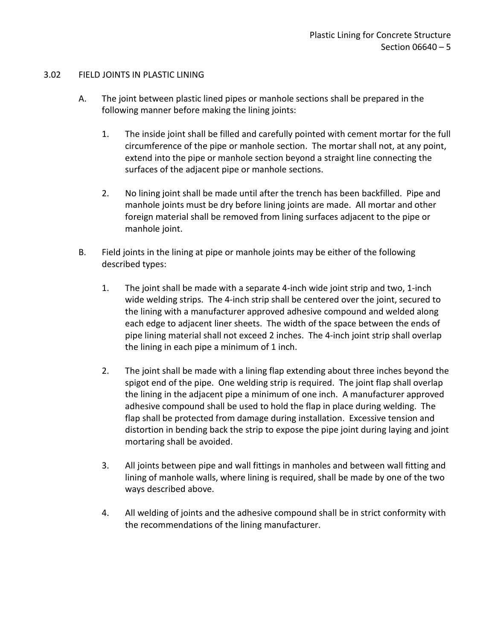## <span id="page-6-0"></span>3.02 FIELD JOINTS IN PLASTIC LINING

- A. The joint between plastic lined pipes or manhole sections shall be prepared in the following manner before making the lining joints:
	- 1. The inside joint shall be filled and carefully pointed with cement mortar for the full circumference of the pipe or manhole section. The mortar shall not, at any point, extend into the pipe or manhole section beyond a straight line connecting the surfaces of the adjacent pipe or manhole sections.
	- 2. No lining joint shall be made until after the trench has been backfilled. Pipe and manhole joints must be dry before lining joints are made. All mortar and other foreign material shall be removed from lining surfaces adjacent to the pipe or manhole joint.
- B. Field joints in the lining at pipe or manhole joints may be either of the following described types:
	- 1. The joint shall be made with a separate 4-inch wide joint strip and two, 1-inch wide welding strips. The 4-inch strip shall be centered over the joint, secured to the lining with a manufacturer approved adhesive compound and welded along each edge to adjacent liner sheets. The width of the space between the ends of pipe lining material shall not exceed 2 inches. The 4-inch joint strip shall overlap the lining in each pipe a minimum of 1 inch.
	- 2. The joint shall be made with a lining flap extending about three inches beyond the spigot end of the pipe. One welding strip is required. The joint flap shall overlap the lining in the adjacent pipe a minimum of one inch. A manufacturer approved adhesive compound shall be used to hold the flap in place during welding. The flap shall be protected from damage during installation. Excessive tension and distortion in bending back the strip to expose the pipe joint during laying and joint mortaring shall be avoided.
	- 3. All joints between pipe and wall fittings in manholes and between wall fitting and lining of manhole walls, where lining is required, shall be made by one of the two ways described above.
	- 4. All welding of joints and the adhesive compound shall be in strict conformity with the recommendations of the lining manufacturer.